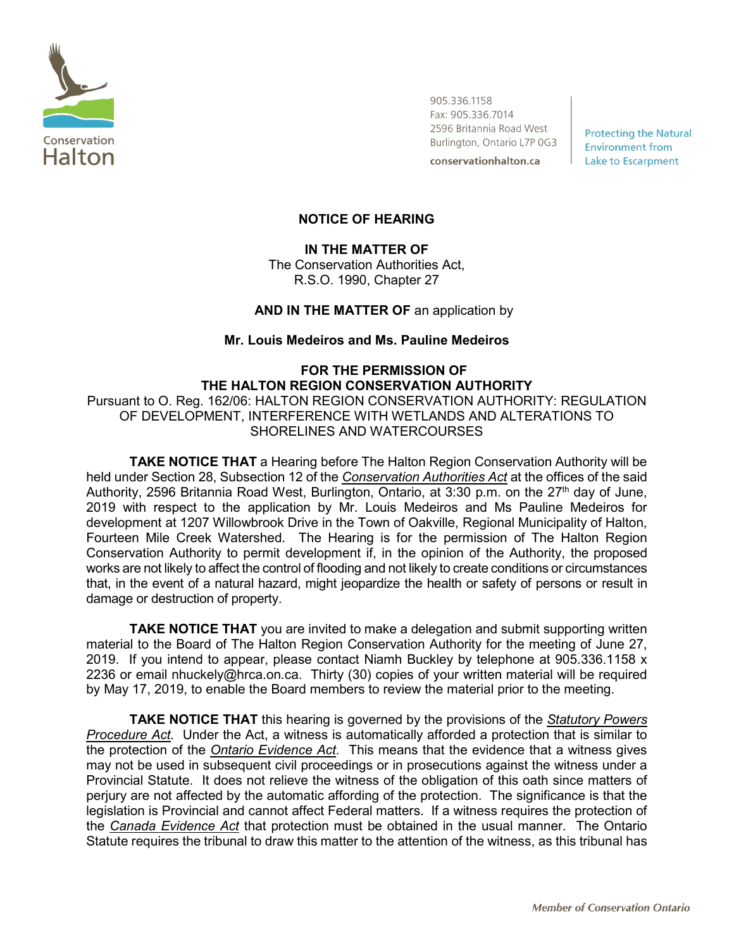

905.336.1158 Fax: 905.336.7014 2596 Britannia Road West Burlington, Ontario L7P 0G3 conservationhalton.ca

**Protecting the Natural Environment from Lake to Escarpment** 

## **NOTICE OF HEARING**

# **IN THE MATTER OF**

The Conservation Authorities Act, R.S.O. 1990, Chapter 27

## **AND IN THE MATTER OF** an application by

#### **Mr. Louis Medeiros and Ms. Pauline Medeiros**

# **FOR THE PERMISSION OF THE HALTON REGION CONSERVATION AUTHORITY** Pursuant to O. Reg. 162/06: HALTON REGION CONSERVATION AUTHORITY: REGULATION OF DEVELOPMENT, INTERFERENCE WITH WETLANDS AND ALTERATIONS TO SHORELINES AND WATERCOURSES

**TAKE NOTICE THAT** a Hearing before The Halton Region Conservation Authority will be held under Section 28, Subsection 12 of the *Conservation Authorities Act* at the offices of the said Authority, 2596 Britannia Road West, Burlington, Ontario, at 3:30 p.m. on the 27<sup>th</sup> day of June, 2019 with respect to the application by Mr. Louis Medeiros and Ms Pauline Medeiros for development at 1207 Willowbrook Drive in the Town of Oakville, Regional Municipality of Halton, Fourteen Mile Creek Watershed. The Hearing is for the permission of The Halton Region Conservation Authority to permit development if, in the opinion of the Authority, the proposed works are not likely to affect the control of flooding and not likely to create conditions or circumstances that, in the event of a natural hazard, might jeopardize the health or safety of persons or result in damage or destruction of property.

**TAKE NOTICE THAT** you are invited to make a delegation and submit supporting written material to the Board of The Halton Region Conservation Authority for the meeting of June 27, 2019. If you intend to appear, please contact Niamh Buckley by telephone at 905.336.1158 x 2236 or email nhuckely@hrca.on.ca. Thirty (30) copies of your written material will be required by May 17, 2019, to enable the Board members to review the material prior to the meeting.

**TAKE NOTICE THAT** this hearing is governed by the provisions of the *Statutory Powers Procedure Act.* Under the Act, a witness is automatically afforded a protection that is similar to the protection of the *Ontario Evidence Act.* This means that the evidence that a witness gives may not be used in subsequent civil proceedings or in prosecutions against the witness under a Provincial Statute. It does not relieve the witness of the obligation of this oath since matters of perjury are not affected by the automatic affording of the protection. The significance is that the legislation is Provincial and cannot affect Federal matters. If a witness requires the protection of the *Canada Evidence Act* that protection must be obtained in the usual manner. The Ontario Statute requires the tribunal to draw this matter to the attention of the witness, as this tribunal has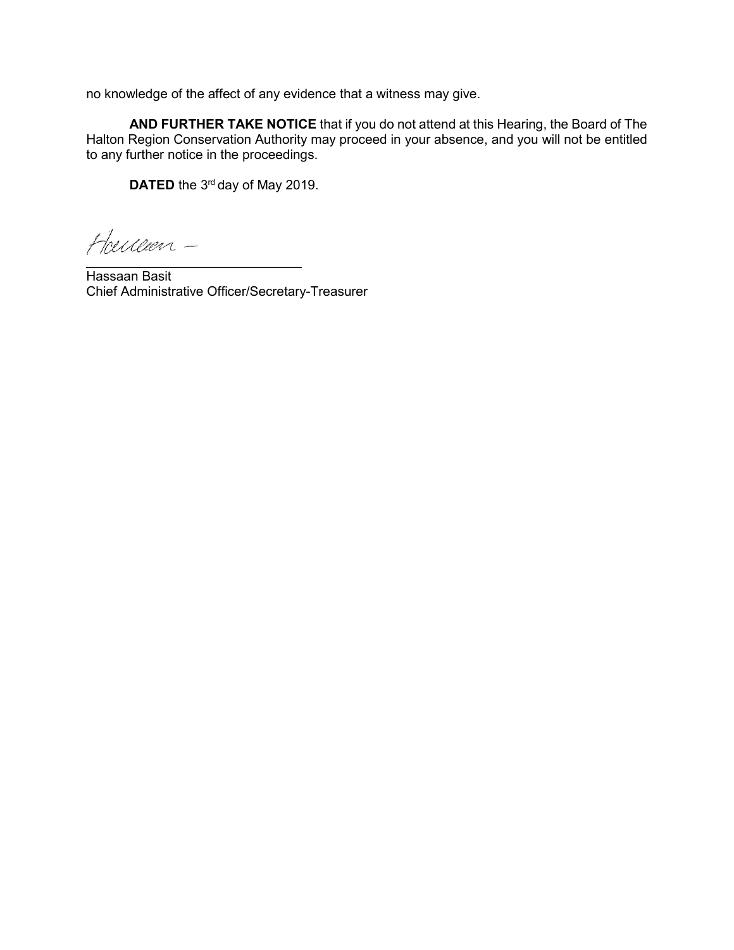no knowledge of the affect of any evidence that a witness may give.

**AND FURTHER TAKE NOTICE** that if you do not attend at this Hearing, the Board of The Halton Region Conservation Authority may proceed in your absence, and you will not be entitled to any further notice in the proceedings.

**DATED** the 3<sup>rd</sup> day of May 2019.

Heucen-

Hassaan Basit Chief Administrative Officer/Secretary-Treasurer